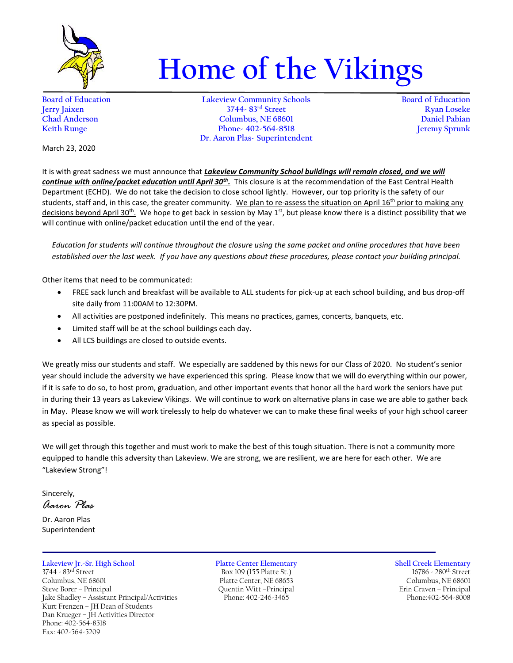

## **Home of the Vikings**

**Board of Education Lakeview Community Schools Board of Education Jerry Jaixen 3744- 83rd Street Ryan Loseke Chad Anderson Columbus, NE 68601 Daniel Pabian Keith Runge Phone- 402-564-8518 Dr. Aaron Plas- Superintendent**

March 23, 2020

It is with great sadness we must announce that *Lakeview Community School buildings will remain closed, and we will continue with online/packet education until April 30th .* This closure is at the recommendation of the East Central Health Department (ECHD). We do not take the decision to close school lightly. However, our top priority is the safety of our students, staff and, in this case, the greater community. We plan to re-assess the situation on April 16<sup>th</sup> prior to making any decisions beyond April 30<sup>th</sup>. We hope to get back in session by May 1<sup>st</sup>, but please know there is a distinct possibility that we will continue with online/packet education until the end of the year.

*Education for students will continue throughout the closure using the same packet and online procedures that have been established over the last week. If you have any questions about these procedures, please contact your building principal.*

Other items that need to be communicated:

- FREE sack lunch and breakfast will be available to ALL students for pick-up at each school building, and bus drop-off site daily from 11:00AM to 12:30PM.
- All activities are postponed indefinitely. This means no practices, games, concerts, banquets, etc.
- Limited staff will be at the school buildings each day.
- All LCS buildings are closed to outside events.

We greatly miss our students and staff. We especially are saddened by this news for our Class of 2020. No student's senior year should include the adversity we have experienced this spring. Please know that we will do everything within our power, if it is safe to do so, to host prom, graduation, and other important events that honor all the hard work the seniors have put in during their 13 years as Lakeview Vikings. We will continue to work on alternative plans in case we are able to gather back in May. Please know we will work tirelessly to help do whatever we can to make these final weeks of your high school career as special as possible.

We will get through this together and must work to make the best of this tough situation. There is not a community more equipped to handle this adversity than Lakeview. We are strong, we are resilient, we are here for each other. We are "Lakeview Strong"!

Sincerely,

*Aaron Plas*

Dr. Aaron Plas Superintendent

## **Lakeview Jr.-Sr. High School Platte Center Elementary Shell Creek Elementary**

3744 - 83<sup>rd</sup> Street Box 109 (155 Platte St.) 16786 - 280<sup>th</sup> Street Columbus, NE 68601 Platte Center, NE 68653 Columbus, NE 68601 Steve Borer – Principal Quentin Witt – Principal Cuentin Witt – Principal Erin Craven – Principal Jake Shadley – Assistant Principal/Activities Phone: 402-246-3465 Phone: 402-2564-8008 Jake Shadley - Assistant Principal/Activities Kurt Frenzen – JH Dean of Students Dan Krueger – JH Activities Director Phone: 402-564-8518 Fax: 402-564-5209